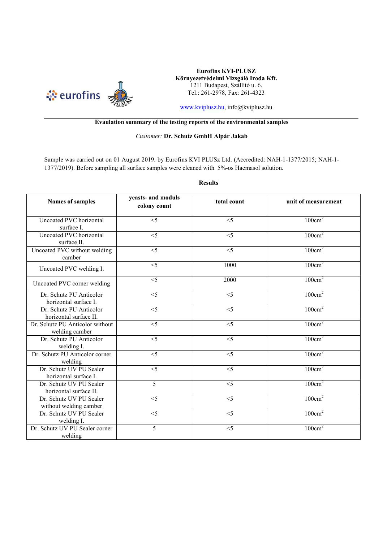

**Eurofins KVI-PLUSZ Környezetvédelmi Vizsgáló Iroda Kft.**  1211 Budapest, Szállító u. 6. Tel.: 261-2978, Fax: 261-4323

www.kviplusz.hu, info@kviplusz.hu

## **Evaulation summary of the testing reports of the environmental samples**

## *Customer:* **Dr. Schutz GmbH Alpár Jakab**

Sample was carried out on 01 August 2019. by Eurofins KVI PLUSz Ltd. (Accredited: NAH-1-1377/2015; NAH-1- 1377/2019). Before sampling all surface samples were cleaned with 5%-os Haemasol solution.

**Results** 

| <b>Names of samples</b>                           | yeasts- and moduls<br>colony count | total count       | unit of measurement |
|---------------------------------------------------|------------------------------------|-------------------|---------------------|
| Uncoated PVC horizontal<br>surface I.             | $\overline{5}$                     | $\overline{\leq}$ | $100 \text{cm}^2$   |
| Uncoated PVC horizontal<br>surface II.            | $\overline{5}$                     | $\overline{\leq}$ | $100 \text{cm}^2$   |
| Uncoated PVC without welding<br>camber            | $\overline{\leq}$                  | $\overline{\leq}$ | $100 \text{cm}^2$   |
| Uncoated PVC welding I.                           | $\overline{\leq}$                  | 1000              | $100 \text{cm}^2$   |
| Uncoated PVC corner welding                       | $<$ 5                              | 2000              | $100 \text{cm}^2$   |
| Dr. Schutz PU Anticolor<br>horizontal surface I.  | $\overline{\leq}$                  | $\overline{\leq}$ | $100 \text{cm}^2$   |
| Dr. Schutz PU Anticolor<br>horizontal surface II. | $\overline{\leq}$                  | $\overline{\leq}$ | $100 \text{cm}^2$   |
| Dr. Schutz PU Anticolor without<br>welding camber | $\overline{5}$                     | $\overline{\leq}$ | $100 \text{cm}^2$   |
| Dr. Schutz PU Anticolor<br>welding I.             | $\overline{\leq}$                  | $\overline{\leq}$ | $100 \text{cm}^2$   |
| Dr. Schutz PU Anticolor corner<br>welding         | $\overline{\leq}$                  | $\overline{\leq}$ | $100 \text{cm}^2$   |
| Dr. Schutz UV PU Sealer<br>horizontal surface I.  | $\overline{\leq}$                  | $\overline{\leq}$ | $100 \text{cm}^2$   |
| Dr. Schutz UV PU Sealer<br>horizontal surface II. | $\overline{5}$                     | $\overline{\leq}$ | $100 \text{cm}^2$   |
| Dr. Schutz UV PU Sealer<br>without welding camber | $\overline{\leq}$                  | $\overline{\leq}$ | $100 \text{cm}^2$   |
| Dr. Schutz UV PU Sealer<br>welding I.             | $\overline{\leq}$                  | $<$ 5             | $100 \text{cm}^2$   |
| Dr. Schutz UV PU Sealer corner<br>welding         | 5                                  | $<$ 5             | $100 \text{cm}^2$   |